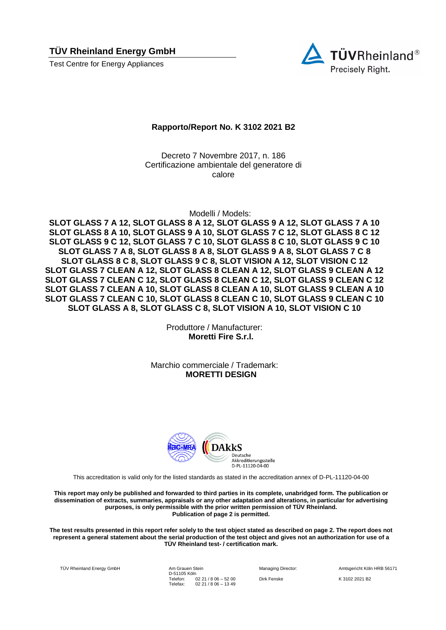**TÜV Rheinland Energy GmbH** 

Test Centre for Energy Appliances



## **Rapporto/Report No. K 3102 2021 B2**

Decreto 7 Novembre 2017, n. 186 Certificazione ambientale del generatore di calore

Modelli / Models:

**SLOT GLASS 7 A 12, SLOT GLASS 8 A 12, SLOT GLASS 9 A 12, SLOT GLASS 7 A 10 SLOT GLASS 8 A 10, SLOT GLASS 9 A 10, SLOT GLASS 7 C 12, SLOT GLASS 8 C 12 SLOT GLASS 9 C 12, SLOT GLASS 7 C 10, SLOT GLASS 8 C 10, SLOT GLASS 9 C 10 SLOT GLASS 7 A 8, SLOT GLASS 8 A 8, SLOT GLASS 9 A 8, SLOT GLASS 7 C 8 SLOT GLASS 8 C 8, SLOT GLASS 9 C 8, SLOT VISION A 12, SLOT VISION C 12 SLOT GLASS 7 CLEAN A 12, SLOT GLASS 8 CLEAN A 12, SLOT GLASS 9 CLEAN A 12 SLOT GLASS 7 CLEAN C 12, SLOT GLASS 8 CLEAN C 12, SLOT GLASS 9 CLEAN C 12 SLOT GLASS 7 CLEAN A 10, SLOT GLASS 8 CLEAN A 10, SLOT GLASS 9 CLEAN A 10 SLOT GLASS 7 CLEAN C 10, SLOT GLASS 8 CLEAN C 10, SLOT GLASS 9 CLEAN C 10 SLOT GLASS A 8, SLOT GLASS C 8, SLOT VISION A 10, SLOT VISION C 10**

> Produttore / Manufacturer: **Moretti Fire S.r.l.**

Marchio commerciale / Trademark: **MORETTI DESIGN**



This accreditation is valid only for the listed standards as stated in the accreditation annex of D-PL-11120-04-00

**This report may only be published and forwarded to third parties in its complete, unabridged form. The publication or dissemination of extracts, summaries, appraisals or any other adaptation and alterations, in particular for advertising purposes, is only permissible with the prior written permission of TÜV Rheinland. Publication of page 2 is permitted.**

**The test results presented in this report refer solely to the test object stated as described on page 2. The report does not represent a general statement about the serial production of the test object and gives not an authorization for use of a TÜV Rheinland test- / certification mark.**

TÜV Rheinland Energy GmbH Am Grauen Stein

D-51105 Köln Telefon: Telefax: 02 21 / 8 06 – 52 00 02 21 / 8 06 – 13 49

Managing Director: Amtsgericht Köln HRB 56171 Dirk Fenske K 3102 2021 B2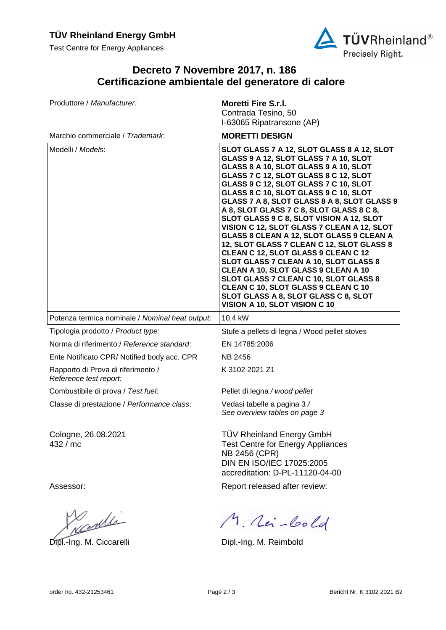Test Centre for Energy Appliances



## **Decreto 7 Novembre 2017, n. 186 Certificazione ambientale del generatore di calore**

| Produttore / Manufacturer:                                   | <b>Moretti Fire S.r.I.</b><br>Contrada Tesino, 50<br>I-63065 Ripatransone (AP)                                                                                                                                                                                                                                                                                                                                                                                                                                                                                                                                                                                                                                                                                                                                        |
|--------------------------------------------------------------|-----------------------------------------------------------------------------------------------------------------------------------------------------------------------------------------------------------------------------------------------------------------------------------------------------------------------------------------------------------------------------------------------------------------------------------------------------------------------------------------------------------------------------------------------------------------------------------------------------------------------------------------------------------------------------------------------------------------------------------------------------------------------------------------------------------------------|
| Marchio commerciale / Trademark:                             | <b>MORETTI DESIGN</b>                                                                                                                                                                                                                                                                                                                                                                                                                                                                                                                                                                                                                                                                                                                                                                                                 |
| Modelli / Models:                                            | SLOT GLASS 7 A 12, SLOT GLASS 8 A 12, SLOT<br>GLASS 9 A 12, SLOT GLASS 7 A 10, SLOT<br>GLASS 8 A 10, SLOT GLASS 9 A 10, SLOT<br>GLASS 7 C 12, SLOT GLASS 8 C 12, SLOT<br>GLASS 9 C 12, SLOT GLASS 7 C 10, SLOT<br>GLASS 8 C 10, SLOT GLASS 9 C 10, SLOT<br>GLASS 7 A 8, SLOT GLASS 8 A 8, SLOT GLASS 9<br>A 8, SLOT GLASS 7 C 8, SLOT GLASS 8 C 8,<br>SLOT GLASS 9 C 8, SLOT VISION A 12, SLOT<br>VISION C 12, SLOT GLASS 7 CLEAN A 12, SLOT<br>GLASS 8 CLEAN A 12, SLOT GLASS 9 CLEAN A<br>12, SLOT GLASS 7 CLEAN C 12, SLOT GLASS 8<br>CLEAN C 12, SLOT GLASS 9 CLEAN C 12<br>SLOT GLASS 7 CLEAN A 10, SLOT GLASS 8<br>CLEAN A 10, SLOT GLASS 9 CLEAN A 10<br>SLOT GLASS 7 CLEAN C 10, SLOT GLASS 8<br>CLEAN C 10, SLOT GLASS 9 CLEAN C 10<br>SLOT GLASS A 8, SLOT GLASS C 8, SLOT<br>VISION A 10, SLOT VISION C 10 |
|                                                              |                                                                                                                                                                                                                                                                                                                                                                                                                                                                                                                                                                                                                                                                                                                                                                                                                       |
| Potenza termica nominale / Nominal heat output:              | 10,4 kW                                                                                                                                                                                                                                                                                                                                                                                                                                                                                                                                                                                                                                                                                                                                                                                                               |
| Tipologia prodotto / Product type:                           | Stufe a pellets di legna / Wood pellet stoves                                                                                                                                                                                                                                                                                                                                                                                                                                                                                                                                                                                                                                                                                                                                                                         |
| Norma di riferimento / Reference standard:                   | EN 14785:2006                                                                                                                                                                                                                                                                                                                                                                                                                                                                                                                                                                                                                                                                                                                                                                                                         |
| Ente Notificato CPR/ Notified body acc. CPR                  | <b>NB 2456</b>                                                                                                                                                                                                                                                                                                                                                                                                                                                                                                                                                                                                                                                                                                                                                                                                        |
| Rapporto di Prova di riferimento /<br>Reference test report: | K 3102 2021 Z1                                                                                                                                                                                                                                                                                                                                                                                                                                                                                                                                                                                                                                                                                                                                                                                                        |
| Combustibile di prova / Test fuel:                           | Pellet di legna / wood pellet                                                                                                                                                                                                                                                                                                                                                                                                                                                                                                                                                                                                                                                                                                                                                                                         |
| Classe di prestazione / Performance class:                   | Vedasi tabelle a pagina 3 /<br>See overview tables on page 3                                                                                                                                                                                                                                                                                                                                                                                                                                                                                                                                                                                                                                                                                                                                                          |
| Cologne, 26.08.2021<br>432 / mc                              | <b>TÜV Rheinland Energy GmbH</b><br><b>Test Centre for Energy Appliances</b><br>NB 2456 (CPR)<br>DIN EN ISO/IEC 17025:2005<br>accreditation: D-PL-11120-04-00                                                                                                                                                                                                                                                                                                                                                                                                                                                                                                                                                                                                                                                         |
| Assessor:                                                    | Report released after review:                                                                                                                                                                                                                                                                                                                                                                                                                                                                                                                                                                                                                                                                                                                                                                                         |

Newlli

Dipl.-Ing. M. Ciccarelli **Dipl.-Ing. M. Reimbold**